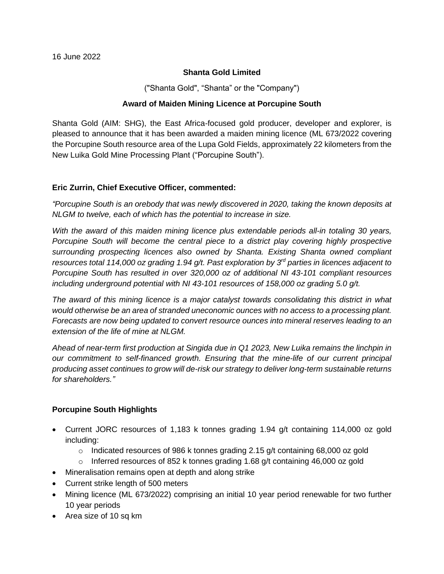### **Shanta Gold Limited**

("Shanta Gold", "Shanta" or the "Company")

# **Award of Maiden Mining Licence at Porcupine South**

Shanta Gold (AIM: SHG), the East Africa-focused gold producer, developer and explorer, is pleased to announce that it has been awarded a maiden mining licence (ML 673/2022 covering the Porcupine South resource area of the Lupa Gold Fields, approximately 22 kilometers from the New Luika Gold Mine Processing Plant ("Porcupine South").

## **Eric Zurrin, Chief Executive Officer, commented:**

*"Porcupine South is an orebody that was newly discovered in 2020, taking the known deposits at NLGM to twelve, each of which has the potential to increase in size.*

*With the award of this maiden mining licence plus extendable periods all-in totaling 30 years, Porcupine South will become the central piece to a district play covering highly prospective surrounding prospecting licences also owned by Shanta. Existing Shanta owned compliant resources total 114,000 oz grading 1.94 g/t. Past exploration by 3rd parties in licences adjacent to Porcupine South has resulted in over 320,000 oz of additional NI 43-101 compliant resources including underground potential with NI 43-101 resources of 158,000 oz grading 5.0 g/t.*

*The award of this mining licence is a major catalyst towards consolidating this district in what would otherwise be an area of stranded uneconomic ounces with no access to a processing plant. Forecasts are now being updated to convert resource ounces into mineral reserves leading to an extension of the life of mine at NLGM.*

*Ahead of near-term first production at Singida due in Q1 2023, New Luika remains the linchpin in our commitment to self-financed growth. Ensuring that the mine-life of our current principal producing asset continues to grow will de-risk our strategy to deliver long-term sustainable returns for shareholders."*

## **Porcupine South Highlights**

- Current JORC resources of 1,183 k tonnes grading 1.94 g/t containing 114,000 oz gold including:
	- o Indicated resources of 986 k tonnes grading 2.15 g/t containing 68,000 oz gold
	- $\circ$  Inferred resources of 852 k tonnes grading 1.68 g/t containing 46,000 oz gold
- Mineralisation remains open at depth and along strike
- Current strike length of 500 meters
- Mining licence (ML 673/2022) comprising an initial 10 year period renewable for two further 10 year periods
- Area size of 10 sq km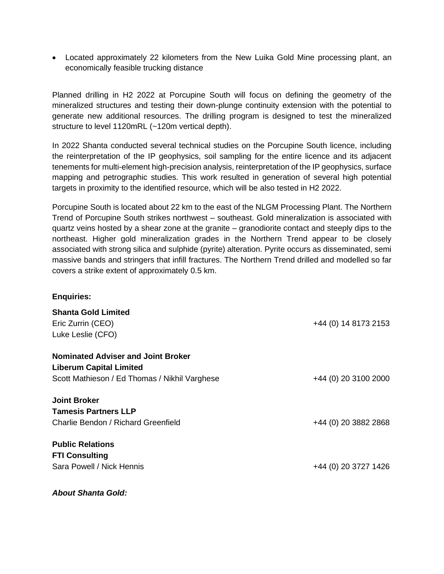• Located approximately 22 kilometers from the New Luika Gold Mine processing plant, an economically feasible trucking distance

Planned drilling in H2 2022 at Porcupine South will focus on defining the geometry of the mineralized structures and testing their down-plunge continuity extension with the potential to generate new additional resources. The drilling program is designed to test the mineralized structure to level 1120mRL (~120m vertical depth).

In 2022 Shanta conducted several technical studies on the Porcupine South licence, including the reinterpretation of the IP geophysics, soil sampling for the entire licence and its adjacent tenements for multi-element high-precision analysis, reinterpretation of the IP geophysics, surface mapping and petrographic studies. This work resulted in generation of several high potential targets in proximity to the identified resource, which will be also tested in H2 2022.

Porcupine South is located about 22 km to the east of the NLGM Processing Plant. The Northern Trend of Porcupine South strikes northwest – southeast. Gold mineralization is associated with quartz veins hosted by a shear zone at the granite – granodiorite contact and steeply dips to the northeast. Higher gold mineralization grades in the Northern Trend appear to be closely associated with strong silica and sulphide (pyrite) alteration. Pyrite occurs as disseminated, semi massive bands and stringers that infill fractures. The Northern Trend drilled and modelled so far covers a strike extent of approximately 0.5 km.

## **Enquiries:**

| <b>Shanta Gold Limited</b>                    |                      |
|-----------------------------------------------|----------------------|
| Eric Zurrin (CEO)                             | +44 (0) 14 8173 2153 |
| Luke Leslie (CFO)                             |                      |
| <b>Nominated Adviser and Joint Broker</b>     |                      |
| <b>Liberum Capital Limited</b>                |                      |
| Scott Mathieson / Ed Thomas / Nikhil Varghese | +44 (0) 20 3100 2000 |
| <b>Joint Broker</b>                           |                      |
| <b>Tamesis Partners LLP</b>                   |                      |
| Charlie Bendon / Richard Greenfield           | +44 (0) 20 3882 2868 |
| <b>Public Relations</b>                       |                      |
| <b>FTI Consulting</b>                         |                      |
| Sara Powell / Nick Hennis                     | +44 (0) 20 3727 1426 |
|                                               |                      |

*About Shanta Gold:*